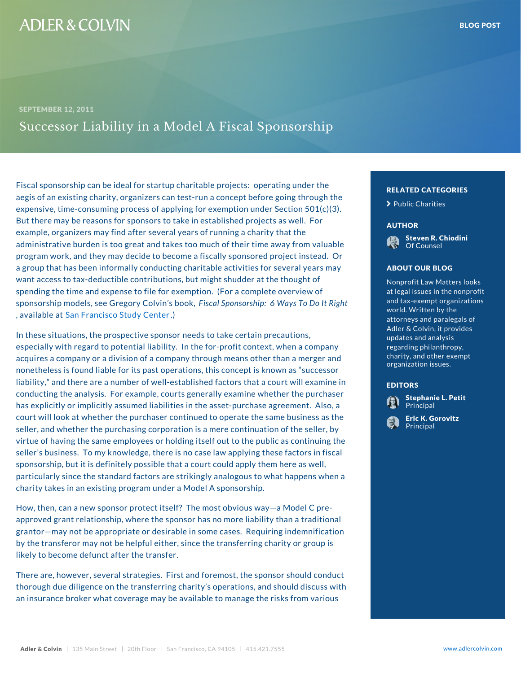Fiscal sponsorship can be ideal for startup charitable  $p_{\text{ref}}$ ,  $p_{\text{ref}}$  on  $\tau$ aegis of an existing charity, organizers can test-run a concept before going through the going through the going through the going through the going through the going through the going through the going through the going t expensive, time-consuming process of applying for exemption of under Section 501 But there may be reasons for sponsors to take in establ example, organizers may find after several years of runi administrative burden is too great and takes too much of sounsel in the valuable valuable valuable valuable va program work, and they may decide to become a fiscally sponsored program sponsored program in the ste a group that has been informally conducting charitable and ABOUT OUR BLOG vert want access to tax-deductible contributions, but might shudder spending the time and expense to file for exemption. (For sponsorship models, see GregFoisycaOloSypiann s obsobikp,: 6 Way , availab Sanafrancisco Study Center

In these situations, the prospective sponsor needs to ta especially with regard to potential liability. In the foracquires a company or a division of a company through nonetheless is found liable for its past operations, this who we have the successor is a liability, and there are a number of well-established factors and a court of  $\mathbf{r}$  examine in the stablished factors in the interval  $\mathbf{r}$ conducting the analysis. For example, courts generally has explicitly or implicitly assumed liabilities in the asset-principal and  $\mathbf{r}$  at court will look at whether the purchaser continued to operate the K. Gorovitz ass seller, and whether the purchasing corporation is a mere continuation of the continuation of the seller, and the se virtue of having the same employees or holding itself out to the public as continuing the public as continuing the public as continuing the public as continuing the public as continuing the public as continuing the public seller s business. To my knowledge, there is no case law applying the factors in figure sponsorship, but it is definitely possible that a court could also as well, and here as particularly since the standard factors are strikingly and allow the standard shappens when a strikingly and a charity takes in an existing program under a Model A sp

How, then, can a new sponsor protect itself? The most obvious way a Model C preapproved grant relationship, where the sponsor has no normal contraditional than a traditional traditional tra grantor may not be appropriate or desirable in some cases. The contraction of the pair by the transferor may not be helpful either, since the transferring charity or group likely to become defunct after the transfer.

There are, however, several strategies. First and foremost, the sponsor showld conduct the sponsor showld con thorough due diligence on the transferring charity s operations, and showledge is and showledge is and showled an insurance broker what coverage may be available to manage the risks from various from various from various

## RELATED CATEGORIE > [Public Ch](�� h t t p s : / / w w w . a d l e r c o l v i n . c o m / b l o g / c a t e g o r y / p u b l i c - c h a r i t i e s /)arities AUTHOR [Steven R. C](�� h t t p s : / / w w w . a d l e r c o l v i n . c o m / s t e v e n - r - c h i o d i n i /)hiodin Of Counsel ABOUT OUR BLOG Nonprofit Law Matters <sup>O</sup> at legal issues in the  $\frac{1}{2}$  W and tax-exempt organ world. Written by the attorneys and paraleg Adler & Colvin, it pro updates and analysis regarding philanthropy **C** charity, and other exerc organization issues. EDITORS [Stephanie L](�� h t t p s : / / w w w . a d l e r c o l v i n . c o m / s t e p h a n i e - l - p e t i t /). Petit Pu Principal Eric K. Gorovitz Principal